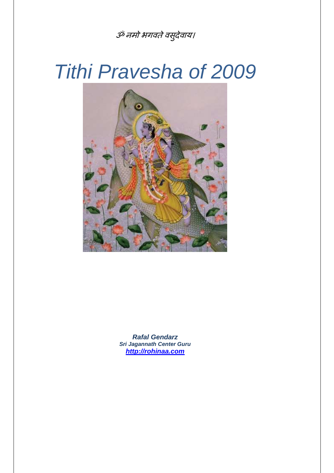## ॐ नमो भगवते वसुदेवाय।

# Tithi Pravesha of 2009



**Rafal Gendarz Sri Jagannath Center Guru http://rohinaa.com**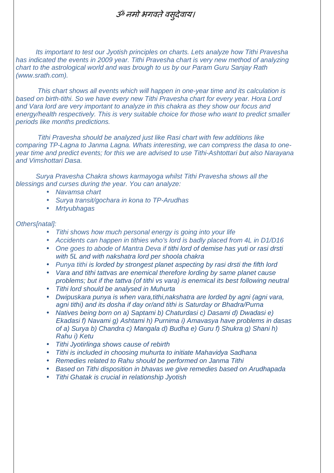### ॐ नमो भगवते वसूदेवाय।

Its important to test our Jyotish principles on charts. Lets analyze how Tithi Pravesha has indicated the events in 2009 year. Tithi Pravesha chart is very new method of analyzing chart to the astrological world and was brough to us by our Param Guru Sanjay Rath (www.srath.com).

 This chart shows all events which will happen in one-year time and its calculation is based on birth-tithi. So we have every new Tithi Pravesha chart for every year. Hora Lord and Vara lord are very important to analyze in this chakra as they show our focus and energy/health respectively. This is very suitable choice for those who want to predict smaller periods like months predictions.

 Tithi Pravesha should be analyzed just like Rasi chart with few additions like comparing TP-Lagna to Janma Lagna. Whats interesting, we can compress the dasa to oneyear time and predict events; for this we are advised to use Tithi-Ashtottari but also Narayana and Vimshottari Dasa.

Surya Pravesha Chakra shows karmayoga whilst Tithi Pravesha shows all the blessings and curses during the year. You can analyze:

- Navamsa chart
- Surya transit/gochara in kona to TP-Arudhas
- Mrtyubhagas

#### Others[natal]:

- Tithi shows how much personal energy is going into your life
- Accidents can happen in tithies who's lord is badly placed from 4L in D1/D16
- One goes to abode of Mantra Deva if tithi lord of demise has yuti or rasi drsti with 5L and with nakshatra lord per shoola chakra
- Punya tithi is lorded by strongest planet aspecting by rasi drsti the fifth lord
- Vara and tithi tattvas are enemical therefore lording by same planet cause problems; but if the tattva (of tithi vs vara) is enemical its best following neutral
- Tithi lord should be analysed in Muhurta
- Dwipuskara punya is when vara,tithi,nakshatra are lorded by agni (agni vara, agni tithi) and its dosha if day or/and tithi is Saturday or Bhadra/Purna
- Natives being born on a) Saptami b) Chaturdasi c) Dasami d) Dwadasi e) Ekadasi f) Navami g) Ashtami h) Purnima i) Amavasya have problems in dasas of a) Surya b) Chandra c) Mangala d) Budha e) Guru f) Shukra g) Shani h) Rahu i) Ketu
- Tithi Jyotirlinga shows cause of rebirth
- Tithi is included in choosing muhurta to initiate Mahavidya Sadhana
- Remedies related to Rahu should be performed on Janma Tithi
- Based on Tithi disposition in bhavas we give remedies based on Arudhapada
- Tithi Ghatak is crucial in relationship Jyotish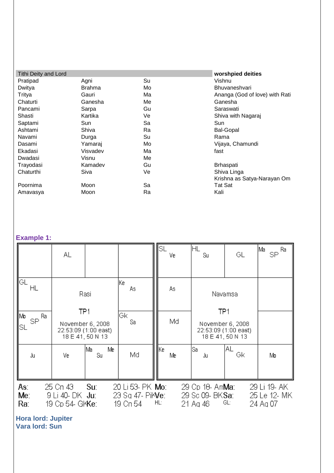| <b>Tithi Deity and Lord</b> |          |    | worshpied deities              |
|-----------------------------|----------|----|--------------------------------|
| Pratipad                    | Agni     | Su | Vishnu                         |
| Dwitya                      | Brahma   | Mo | <b>Bhuvaneshvari</b>           |
| Tritya                      | Gauri    | Ma | Ananga (God of love) with Rati |
| Chaturti                    | Ganesha  | Me | Ganesha                        |
| Pancami                     | Sarpa    | Gu | Saraswati                      |
| Shasti                      | Kartika  | Ve | Shiva with Nagaraj             |
| Saptami                     | Sun      | Sa | Sun                            |
| Ashtami                     | Shiva    | Ra | <b>Bal-Gopal</b>               |
| Navami                      | Durga    | Su | Rama                           |
| Dasami                      | Yamaraj  | Mo | Vijaya, Chamundi               |
| Ekadasi                     | Visvadev | Ma | fast                           |
| Dwadasi                     | Visnu    | Me |                                |
| Trayodasi                   | Kamadev  | Gu | Brhaspati                      |
| Chaturthi                   | Siva     | Ve | Shiva Linga                    |
|                             |          |    | Krishna as Satya-Narayan Om    |
| Poornima                    | Moon     | Sa | Tat Sat                        |
| Amavasya                    | Moon     | Ra | Kali                           |

#### **Example 1:**

|                                 | AL                                             |                                                              |                                                         | llsl | Ve | ⊩L<br>Su                                                | GL                                                           | ∣Ma<br>$SP^{\sf Ra}$                     |
|---------------------------------|------------------------------------------------|--------------------------------------------------------------|---------------------------------------------------------|------|----|---------------------------------------------------------|--------------------------------------------------------------|------------------------------------------|
| IGL.<br>ΗL                      |                                                | Rasi                                                         | lKe.<br>As.                                             |      | As |                                                         | Navamsa                                                      |                                          |
| ∥Mo<br>_ Ra<br><b>SP</b><br>ISL | TP <sub>1</sub>                                | November 6, 2008<br>22:53:09 (1:00 east)<br>18 E 41, 50 N 13 | Gк<br>Sa                                                |      | Md | TP <sub>1</sub>                                         | November 6, 2008<br>22:53:09 (1:00 east)<br>18 E 41, 50 N 13 |                                          |
| Ju                              | ٧e                                             | Me<br>lMa .<br>Su                                            | Md                                                      | ∥Kel | Me | lSa.<br>Ju                                              | AL<br>Gk                                                     | Mb                                       |
| As:<br>Me <sub>1</sub><br>Ra:   | 25 Cn 43<br>9 Li 40- DK Ju:<br>19 Cp 54- GKKe: | Su:                                                          | 20 Li 53- PK <b>Mo</b> :<br>23 Sq 47- PiMe:<br>19 Cn 54 | HL:  |    | 29 Cp 18- Am <b>Ma</b> :<br>29 Sc 09- BKSa:<br>21 Ag 46 | GL:                                                          | 29 Li 19- AK<br>25 Le 12- MK<br>24 Ag 07 |

**Hora lord: Jupiter Vara lord: Sun**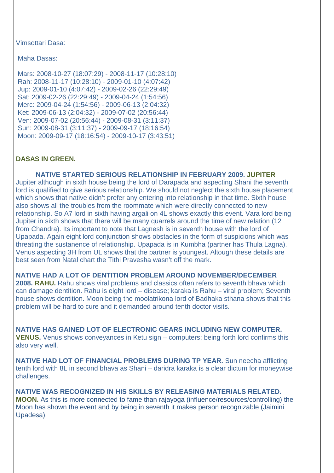Vimsottari Dasa:

Maha Dasas:

 Mars: 2008-10-27 (18:07:29) - 2008-11-17 (10:28:10) Rah: 2008-11-17 (10:28:10) - 2009-01-10 (4:07:42) Jup: 2009-01-10 (4:07:42) - 2009-02-26 (22:29:49) Sat: 2009-02-26 (22:29:49) - 2009-04-24 (1:54:56) Merc: 2009-04-24 (1:54:56) - 2009-06-13 (2:04:32) Ket: 2009-06-13 (2:04:32) - 2009-07-02 (20:56:44) Ven: 2009-07-02 (20:56:44) - 2009-08-31 (3:11:37) Sun: 2009-08-31 (3:11:37) - 2009-09-17 (18:16:54) Moon: 2009-09-17 (18:16:54) - 2009-10-17 (3:43:51)

#### **DASAS IN GREEN.**

**NATIVE STARTED SERIOUS RELATIONSHIP IN FEBRUARY 2009. JUPITER** Jupiter although in sixth house being the lord of Darapada and aspecting Shani the seventh lord is qualified to give serious relationship. We should not neglect the sixth house placement which shows that native didn't prefer any entering into relationship in that time. Sixth house also shows all the troubles from the roommate which were directly connected to new relationship. So A7 lord in sixth having argali on 4L shows exactly this event. Vara lord being Jupiter in sixth shows that there will be many quarrels around the time of new relation (12 from Chandra). Its important to note that Lagnesh is in seventh house with the lord of Upapada. Again eight lord conjunction shows obstacles in the form of suspicions which was threating the sustanence of relationship. Upapada is in Kumbha (partner has Thula Lagna). Venus aspecting 3H from UL shows that the partner is youngest. Altough these details are best seen from Natal chart the Tithi Pravesha wasn't off the mark.

**NATIVE HAD A LOT OF DENTITION PROBLEM AROUND NOVEMBER/DECEMBER 2008. RAHU.** Rahu shows viral problems and classics often refers to seventh bhava which can damage dentition. Rahu is eight lord – disease; karaka is Rahu – viral problem; Seventh house shows dentition. Moon being the moolatrikona lord of Badhaka sthana shows that this problem will be hard to cure and it demanded around tenth doctor visits.

**NATIVE HAS GAINED LOT OF ELECTRONIC GEARS INCLUDING NEW COMPUTER. VENUS.** Venus shows conveyances in Ketu sign – computers; being forth lord confirms this also very well.

**NATIVE HAD LOT OF FINANCIAL PROBLEMS DURING TP YEAR.** Sun neecha afflicting tenth lord with 8L in second bhava as Shani – daridra karaka is a clear dictum for moneywise challenges.

**NATIVE WAS RECOGNIZED IN HIS SKILLS BY RELEASING MATERIALS RELATED. MOON.** As this is more connected to fame than rajayoga (influence/resources/controlling) the Moon has shown the event and by being in seventh it makes person recognizable (Jaimini Upadesa).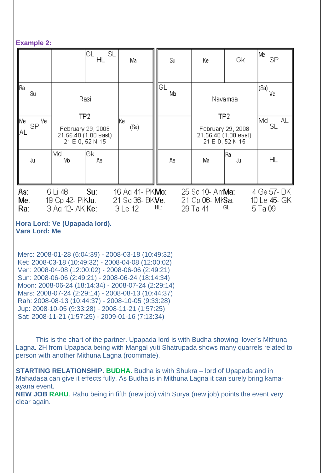#### **Example 2:**

|                                             |                                                          | SL<br>GL<br>HL                                                                          | Ma                                                     | Su        | Ke                                                      | Gk                                                                                         | Me<br><b>SP</b>                        |
|---------------------------------------------|----------------------------------------------------------|-----------------------------------------------------------------------------------------|--------------------------------------------------------|-----------|---------------------------------------------------------|--------------------------------------------------------------------------------------------|----------------------------------------|
| ∥Ra<br>Su<br>  Me<br>$SP^{\sqrt{e}}$<br>∥al |                                                          | Rasi<br>TP <sub>2</sub><br>February 29, 2008<br>21:56:40 (1:00 east)<br>21 E 0, 52 N 15 | lKe.<br>(Sa)                                           | IGL<br>Mb |                                                         | Navamsa<br>TP <sub>2</sub><br>February 29, 2008<br>21:56:40 (1:00 east)<br>21 E 0, 52 N 15 | (Sa)<br>Ve<br>Md.<br>AL<br>SL          |
| Ju                                          | IMd<br>Mb                                                | Gk<br>As,                                                                               |                                                        | As        | Ma                                                      | lRa.<br>Ju                                                                                 | <b>HL</b>                              |
| As:<br>Me:<br>Ra:                           | 6 Li 48<br>19 Cp 42- PikJu: 1<br>3 Ag 12- AK <b>Ke</b> : | Su:                                                                                     | 16 Ag 41- PK <b>Mo</b> :<br>21 Sq 36- BKVe:<br>3 Le 12 | HL:       | 25 Sc 10- Am <b>Ma</b> :<br>21 Cp 06- MPSa:<br>29 Ta 41 | GL:                                                                                        | 4 Ge 57- DK<br>10 Le 45- GK<br>5 Ta 09 |

#### **Hora Lord: Ve (Upapada lord). Vara Lord: Me**

 Merc: 2008-01-28 (6:04:39) - 2008-03-18 (10:49:32) Ket: 2008-03-18 (10:49:32) - 2008-04-08 (12:00:02) Ven: 2008-04-08 (12:00:02) - 2008-06-06 (2:49:21) Sun: 2008-06-06 (2:49:21) - 2008-06-24 (18:14:34) Moon: 2008-06-24 (18:14:34) - 2008-07-24 (2:29:14) Mars: 2008-07-24 (2:29:14) - 2008-08-13 (10:44:37) Rah: 2008-08-13 (10:44:37) - 2008-10-05 (9:33:28) Jup: 2008-10-05 (9:33:28) - 2008-11-21 (1:57:25) Sat: 2008-11-21 (1:57:25) - 2009-01-16 (7:13:34)

This is the chart of the partner. Upapada lord is with Budha showing lover's Mithuna Lagna. 2H from Upapada being with Mangal yuti Shatrupada shows many quarrels related to person with another Mithuna Lagna (roommate).

**STARTING RELATIONSHIP. BUDHA.** Budha is with Shukra – lord of Upapada and in Mahadasa can give it effects fully. As Budha is in Mithuna Lagna it can surely bring kamaayana event.

**NEW JOB RAHU**. Rahu being in fifth (new job) with Surya (new job) points the event very clear again.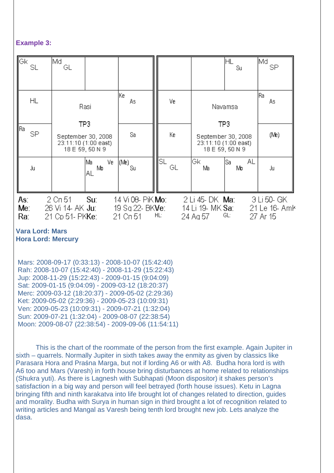#### **Example 3:**

| ∥Gk<br>SL                     | lMd.<br>GL                                                           |                                                  |          |                                                                      | ΗL<br>Su.        | Md.<br>SP                                |
|-------------------------------|----------------------------------------------------------------------|--------------------------------------------------|----------|----------------------------------------------------------------------|------------------|------------------------------------------|
| HL                            | Rasi                                                                 | lKe.<br>As.                                      | ٧e       |                                                                      | Navamsa          | Rai<br>ÅS                                |
| ∥Ra i<br>SP.                  | TP3<br>September 30, 2008<br>23:11:10 (1:00 east)<br>18 E 59, 50 N 9 | Sa                                               | Ke       | TP3<br>September 30, 2008<br>23:11:10 (1:00 east)<br>18 E 59, 50 N 9 |                  | (Me)                                     |
| Ju                            | Ma<br>Ve i<br>Mo<br>ΑL                                               | (Me)<br>Su                                       | SL<br>GL | lGk.<br>Ma                                                           | AL<br>lSal<br>Mb | Ju                                       |
| As:<br>Me <sub>1</sub><br>Ra: | Su:<br>2 Cn 51<br>26 Vi 14 AK Ju:<br>21 Cp 51- PKKe:                 | 14 Vi 08- PiK Mo:<br>19 Sq 22- BKVe:<br>21 Cn 51 | HL:      | 2 Li 45- DK <b>Ma</b> :<br>14 Li 19- MK Sa:<br>24 Ag 57              | GL:              | 3 Li 50- GK<br>21 Le 16- Amh<br>27 Ar 15 |

#### **Vara Lord: Mars Hora Lord: Mercury**

 Mars: 2008-09-17 (0:33:13) - 2008-10-07 (15:42:40) Rah: 2008-10-07 (15:42:40) - 2008-11-29 (15:22:43) Jup: 2008-11-29 (15:22:43) - 2009-01-15 (9:04:09) Sat: 2009-01-15 (9:04:09) - 2009-03-12 (18:20:37) Merc: 2009-03-12 (18:20:37) - 2009-05-02 (2:29:36) Ket: 2009-05-02 (2:29:36) - 2009-05-23 (10:09:31) Ven: 2009-05-23 (10:09:31) - 2009-07-21 (1:32:04) Sun: 2009-07-21 (1:32:04) - 2009-08-07 (22:38:54) Moon: 2009-08-07 (22:38:54) - 2009-09-06 (11:54:11)

This is the chart of the roommate of the person from the first example. Again Jupiter in sixth – quarrels. Normally Jupiter in sixth takes away the enmity as given by classics like Parasara Hora and Praśna Marga, but not if lording A6 or with A8. Budha hora lord is with A6 too and Mars (Varesh) in forth house bring disturbances at home related to relationships (Shukra yuti). As there is Lagnesh with Subhapati (Moon dispositor) it shakes person's satisfaction in a big way and person will feel betrayed (forth house issues). Ketu in Lagna bringing fifth and ninth karakatva into life brought lot of changes related to direction, guides and morality. Budha with Surya in human sign in third brought a lot of recognition related to writing articles and Mangal as Varesh being tenth lord brought new job. Lets analyze the dasa.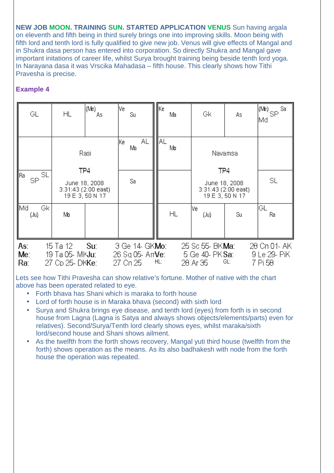**NEW JOB MOON. TRAINING SUN. STARTED APPLICATION VENUS** Sun having argala on eleventh and fifth being in third surely brings one into improving skills. Moon being with fifth lord and tenth lord is fully qualified to give new job. Venus will give effects of Mangal and in Shukra dasa person has entered into corporation. So directly Shukra and Mangal gave important initations of career life, whilst Surya brought training being beside tenth lord yoga. In Narayana dasa it was Vrscika Mahadasa – fifth house. This clearly shows how Tithi Pravesha is precise.

#### **Example 4**

| GL                            |    | <b>HL</b>                                                | (Me)<br>As | lVe.<br>Su |                                            | ∥Ke∶ | Ma | Gk                                                      | Аs  | $\left  \rule{0pt}{10pt} \right.^{(\mathsf{Me})}$ SP $^{5a}$<br>∣Md |
|-------------------------------|----|----------------------------------------------------------|------------|------------|--------------------------------------------|------|----|---------------------------------------------------------|-----|---------------------------------------------------------------------|
|                               |    |                                                          |            | lKe.<br>Ma | AL.                                        | ∥A∟  | Mo |                                                         |     |                                                                     |
| <b>SL</b><br>∥Ra i<br>SP.     |    | TP4                                                      | Rasi       |            |                                            |      |    | Navamsa<br>TP4                                          |     |                                                                     |
|                               |    | June 18, 2008<br>$3:31:43(2:00$ east)<br>19 E 3, 50 N 17 |            | Sa         |                                            |      |    | June 18, 2008<br>3:31:43 (2:00 east)<br>19 E 3, 50 N 17 |     | SL                                                                  |
| llMd.<br>$($ Ju $)$           | Gk | Mo                                                       |            |            |                                            |      | ΗL | lVe.<br>$($ Ju $)$                                      | Su  | GL<br>Ra                                                            |
| As:<br>Me <sub>1</sub><br>Ra: |    | 15 Ta 12<br>19 Ta 05- MKJu:<br>27 Cp 25- DK <b>Ke</b> :  | Su:        | 27 Cn 25   | 3 Ge 14- GKMo:<br>26 Sq 05- Am <b>Ve</b> : | HL:  |    | 25 Sc 55- BK <b>Ma</b> :<br>5 Ge 40- PK Sa:<br>28 Ar 35 | GL: | 28 Cn 01- AK<br>9 Le 29- PiK<br>7 Pi 58                             |

Lets see how Tithi Pravesha can show relative's fortune. Mother of native with the chart above has been operated related to eye.

- Forth bhava has Shani which is maraka to forth house
- Lord of forth house is in Maraka bhava (second) with sixth lord
- Surya and Shukra brings eye disease, and tenth lord (eyes) from forth is in second house from Lagna (Lagna is Satya and always shows objects/elements/parts) even for relatives). Second/Surya/Tenth lord clearly shows eyes, whilst maraka/sixth lord/second house and Shani shows ailment.
- As the twelfth from the forth shows recovery, Mangal yuti third house (twelfth from the forth) shows operation as the means. As its also badhakesh with node from the forth house the operation was repeated.